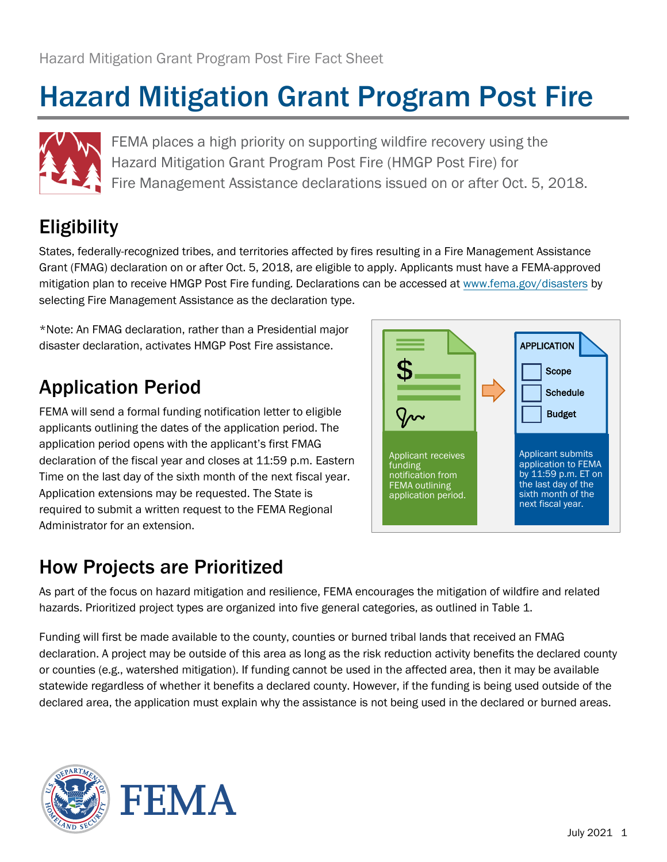# Hazard Mitigation Grant Program Post Fire



FEMA places a high priority on supporting wildfire recovery using the Hazard Mitigation Grant Program Post Fire (HMGP Post Fire) for Fire Management Assistance declarations issued on or after Oct. 5, 2018.

# Eligibility

 mitigation plan to receive HMGP Post Fire funding. Declarations can be accessed at [www.fema.gov/disasters](http://www.fema.gov/disasters) by States, federally-recognized tribes, and territories affected by fires resulting in a Fire Management Assistance Grant (FMAG) declaration on or after Oct. 5, 2018, are eligible to apply. Applicants must have a FEMA-approved selecting Fire Management Assistance as the declaration type.

\*Note: An FMAG declaration, rather than a Presidential major disaster declaration, activates HMGP Post Fire assistance.

## Application Period

 Time on the last day of the sixth month of the next fiscal year. FEMA will send a formal funding notification letter to eligible applicants outlining the dates of the application period. The application period opens with the applicant's first FMAG declaration of the fiscal year and closes at 11:59 p.m. Eastern Application extensions may be requested. The State is required to submit a written request to the FEMA Regional Administrator for an extension.



#### How Projects are Prioritized

 As part of the focus on hazard mitigation and resilience, FEMA encourages the mitigation of wildfire and related hazards. Prioritized project types are organized into five general categories, as outlined in Table 1.

 Funding will first be made available to the county, counties or burned tribal lands that received an FMAG declaration. A project may be outside of this area as long as the risk reduction activity benefits the declared county or counties (e.g., watershed mitigation). If funding cannot be used in the affected area, then it may be available statewide regardless of whether it benefits a declared county. However, if the funding is being used outside of the declared area, the application must explain why the assistance is not being used in the declared or burned areas.

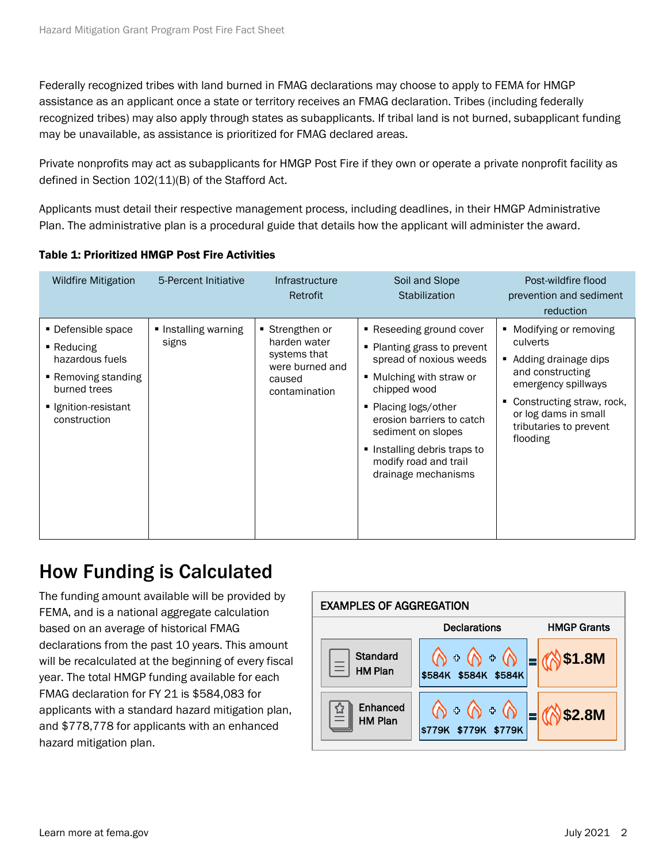Federally recognized tribes with land burned in FMAG declarations may choose to apply to FEMA for HMGP assistance as an applicant once a state or territory receives an FMAG declaration. Tribes (including federally may be unavailable, as assistance is prioritized for FMAG declared areas. recognized tribes) may also apply through states as subapplicants. If tribal land is not burned, subapplicant funding

 Private nonprofits may act as subapplicants for HMGP Post Fire if they own or operate a private nonprofit facility as defined in Section 102(11)(B) of the Stafford Act.

Applicants must detail their respective management process, including deadlines, in their HMGP Administrative Plan. The administrative plan is a procedural guide that details how the applicant will administer the award.

| <b>Wildfire Mitigation</b>                                                                                                                    | 5-Percent Initiative          | <b>Infrastructure</b><br>Retrofit                                                           | Soil and Slope<br>Stabilization                                                                                                                                                                                                                                                         | Post-wildfire flood<br>prevention and sediment<br>reduction                                                                                                                                              |
|-----------------------------------------------------------------------------------------------------------------------------------------------|-------------------------------|---------------------------------------------------------------------------------------------|-----------------------------------------------------------------------------------------------------------------------------------------------------------------------------------------------------------------------------------------------------------------------------------------|----------------------------------------------------------------------------------------------------------------------------------------------------------------------------------------------------------|
| • Defensible space<br>$\blacksquare$ Reducing<br>hazardous fuels<br>■ Removing standing<br>burned trees<br>Ignition-resistant<br>construction | ■ Installing warning<br>signs | Strengthen or<br>harden water<br>systems that<br>were burned and<br>caused<br>contamination | ■ Reseeding ground cover<br>• Planting grass to prevent<br>spread of noxious weeds<br>■ Mulching with straw or<br>chipped wood<br>• Placing logs/other<br>erosion barriers to catch<br>sediment on slopes<br>Installing debris traps to<br>modify road and trail<br>drainage mechanisms | • Modifying or removing<br>culverts<br>■ Adding drainage dips<br>and constructing<br>emergency spillways<br>Constructing straw, rock,<br>٠<br>or log dams in small<br>tributaries to prevent<br>flooding |

#### Table 1: Prioritized HMGP Post Fire Activities

#### How Funding is Calculated

The funding amount available will be provided by FEMA, and is a national aggregate calculation based on an average of historical FMAG declarations from the past 10 years. This amount will be recalculated at the beginning of every fiscal year. The total HMGP funding available for each FMAG declaration for FY 21 is \$584,083 for applicants with a standard hazard mitigation plan, and \$778,778 for applicants with an enhanced hazard mitigation plan.